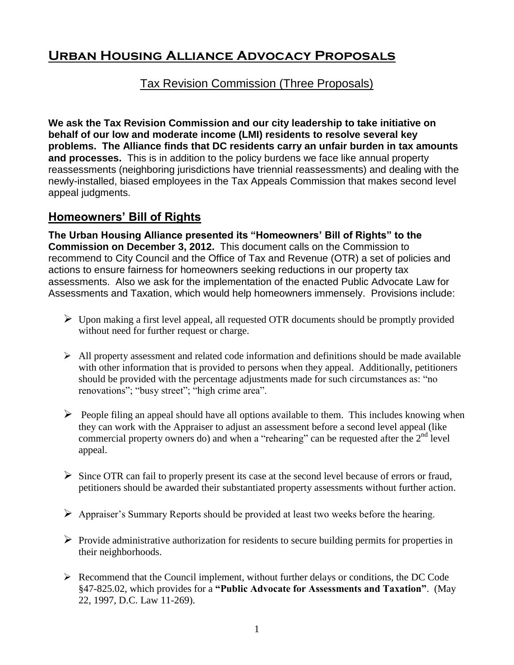# **Urban Housing Alliance Advocacy Proposals**

#### Tax Revision Commission (Three Proposals)

**We ask the Tax Revision Commission and our city leadership to take initiative on behalf of our low and moderate income (LMI) residents to resolve several key problems. The Alliance finds that DC residents carry an unfair burden in tax amounts and processes.** This is in addition to the policy burdens we face like annual property reassessments (neighboring jurisdictions have triennial reassessments) and dealing with the newly-installed, biased employees in the Tax Appeals Commission that makes second level appeal judgments.

## **Homeowners' Bill of Rights**

**The Urban Housing Alliance presented its "Homeowners' Bill of Rights" to the Commission on December 3, 2012.** This document calls on the Commission to recommend to City Council and the Office of Tax and Revenue (OTR) a set of policies and actions to ensure fairness for homeowners seeking reductions in our property tax assessments. Also we ask for the implementation of the enacted Public Advocate Law for Assessments and Taxation, which would help homeowners immensely. Provisions include:

- $\triangleright$  Upon making a first level appeal, all requested OTR documents should be promptly provided without need for further request or charge.
- $\triangleright$  All property assessment and related code information and definitions should be made available with other information that is provided to persons when they appeal. Additionally, petitioners should be provided with the percentage adjustments made for such circumstances as: "no renovations"; "busy street"; "high crime area".
- $\triangleright$  People filing an appeal should have all options available to them. This includes knowing when they can work with the Appraiser to adjust an assessment before a second level appeal (like commercial property owners do) and when a "rehearing" can be requested after the  $2<sup>nd</sup>$  level appeal.
- $\triangleright$  Since OTR can fail to properly present its case at the second level because of errors or fraud, petitioners should be awarded their substantiated property assessments without further action.
- $\triangleright$  Appraiser's Summary Reports should be provided at least two weeks before the hearing.
- $\triangleright$  Provide administrative authorization for residents to secure building permits for properties in their neighborhoods.
- $\triangleright$  Recommend that the Council implement, without further delays or conditions, the DC Code §47-825.02, which provides for a **"Public Advocate for Assessments and Taxation"**. (May 22, 1997, D.C. Law 11-269).